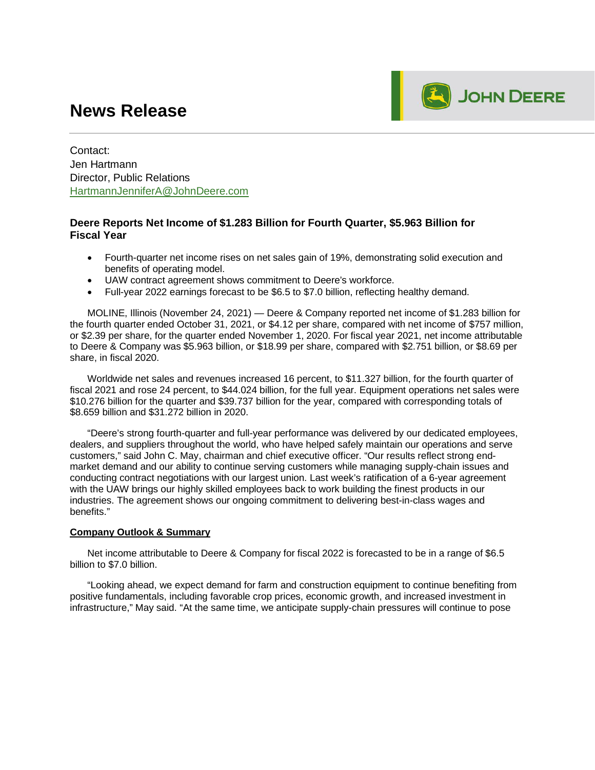# **News Release**



Contact: Jen Hartmann Director, Public Relations HartmannJenniferA@JohnDeere.com

### **Deere Reports Net Income of \$1.283 Billion for Fourth Quarter, \$5.963 Billion for Fiscal Year**

- · Fourth-quarter net income rises on net sales gain of 19%, demonstrating solid execution and benefits of operating model.
- UAW contract agreement shows commitment to Deere's workforce.
- · Full-year 2022 earnings forecast to be \$6.5 to \$7.0 billion, reflecting healthy demand.

MOLINE, Illinois (November 24, 2021) — Deere & Company reported net income of \$1.283 billion for the fourth quarter ended October 31, 2021, or \$4.12 per share, compared with net income of \$757 million, or \$2.39 per share, for the quarter ended November 1, 2020. For fiscal year 2021, net income attributable to Deere & Company was \$5.963 billion, or \$18.99 per share, compared with \$2.751 billion, or \$8.69 per share, in fiscal 2020.

Worldwide net sales and revenues increased 16 percent, to \$11.327 billion, for the fourth quarter of fiscal 2021 and rose 24 percent, to \$44.024 billion, for the full year. Equipment operations net sales were \$10.276 billion for the quarter and \$39.737 billion for the year, compared with corresponding totals of \$8.659 billion and \$31.272 billion in 2020.

"Deere's strong fourth-quarter and full-year performance was delivered by our dedicated employees, dealers, and suppliers throughout the world, who have helped safely maintain our operations and serve customers," said John C. May, chairman and chief executive officer. "Our results reflect strong endmarket demand and our ability to continue serving customers while managing supply-chain issues and conducting contract negotiations with our largest union. Last week's ratification of a 6-year agreement with the UAW brings our highly skilled employees back to work building the finest products in our industries. The agreement shows our ongoing commitment to delivering best-in-class wages and benefits."

### **Company Outlook & Summary**

Net income attributable to Deere & Company for fiscal 2022 is forecasted to be in a range of \$6.5 billion to \$7.0 billion.

"Looking ahead, we expect demand for farm and construction equipment to continue benefiting from positive fundamentals, including favorable crop prices, economic growth, and increased investment in infrastructure," May said. "At the same time, we anticipate supply-chain pressures will continue to pose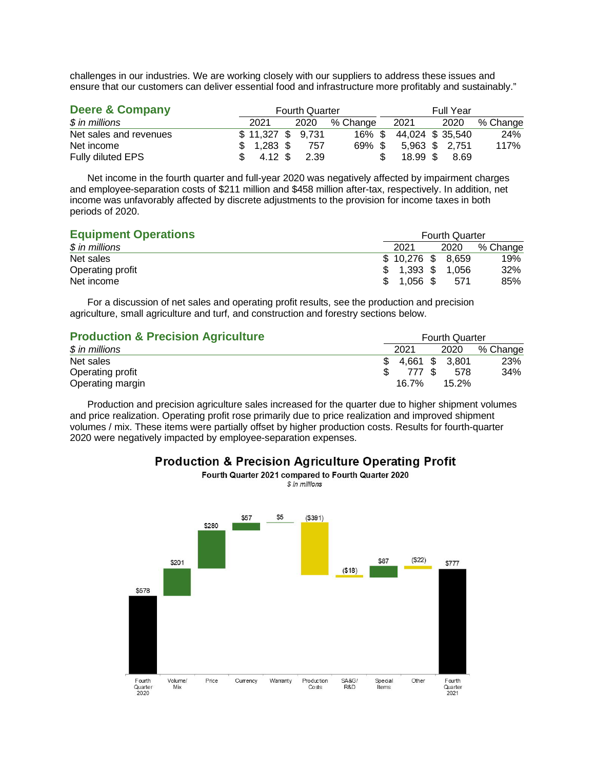challenges in our industries. We are working closely with our suppliers to address these issues and ensure that our customers can deliver essential food and infrastructure more profitably and sustainably."

| Deere & Company        | <b>Fourth Quarter</b> |  |      |          |  |                       | <b>Full Year</b> |                |          |  |
|------------------------|-----------------------|--|------|----------|--|-----------------------|------------------|----------------|----------|--|
| $$$ in millions        | 2021                  |  | 2020 | % Change |  | 2021                  |                  | 2020           | % Change |  |
| Net sales and revenues | \$11,327 \$ 9,731     |  |      |          |  | 16% \$44,024 \$35,540 |                  |                | 24%      |  |
| Net income             | $$1,283$ \$           |  | 757  | 69% \$   |  |                       |                  | 5,963 \$ 2,751 | 117%     |  |
| Fully diluted EPS      | 4.12 \$               |  | 2.39 |          |  | 18.99 \$              |                  | 8.69           |          |  |

Net income in the fourth quarter and full-year 2020 was negatively affected by impairment charges and employee-separation costs of \$211 million and \$458 million after-tax, respectively. In addition, net income was unfavorably affected by discrete adjustments to the provision for income taxes in both periods of 2020.

| <b>Equipment Operations</b> | <b>Fourth Quarter</b> |                    |  |       |          |  |
|-----------------------------|-----------------------|--------------------|--|-------|----------|--|
| $$$ in millions             |                       | 2021               |  | 2020  | % Change |  |
| Net sales                   |                       | $$10,276$ \$ 8,659 |  |       | 19%      |  |
| Operating profit            |                       | $1,393$ \$         |  | 1.056 | 32%      |  |
| Net income                  |                       | $1.056$ \$         |  | 571   | 85%      |  |

For a discussion of net sales and operating profit results, see the production and precision agriculture, small agriculture and turf, and construction and forestry sections below.

| <b>Production &amp; Precision Agriculture</b> | <b>Fourth Quarter</b> |       |  |                |          |
|-----------------------------------------------|-----------------------|-------|--|----------------|----------|
| $$$ in millions                               |                       | 2021  |  | 2020           | % Change |
| Net sales                                     | SS.                   |       |  | 4,661 \$ 3,801 | 23%      |
| Operating profit                              |                       | 777 S |  | 578            | 34%      |
| Operating margin                              |                       | 16.7% |  | $15.2\%$       |          |

Production and precision agriculture sales increased for the quarter due to higher shipment volumes and price realization. Operating profit rose primarily due to price realization and improved shipment volumes / mix. These items were partially offset by higher production costs. Results for fourth-quarter 2020 were negatively impacted by employee-separation expenses.



**Production & Precision Agriculture Operating Profit** Fourth Quarter 2021 compared to Fourth Quarter 2020

\$ in millions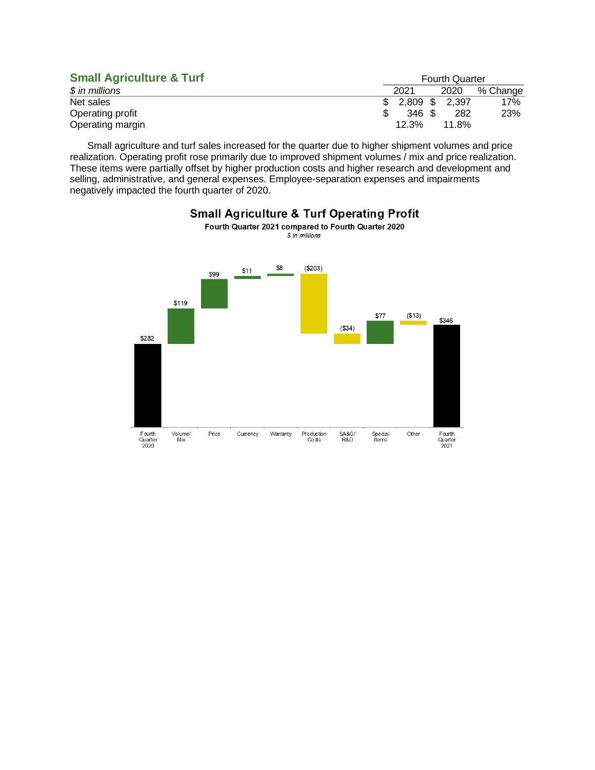| <b>Small Agriculture &amp; Turf</b> | <b>Fourth Quarter</b> |  |       |          |  |
|-------------------------------------|-----------------------|--|-------|----------|--|
| $$$ in millions                     | 2021                  |  | 2020  | % Change |  |
| Net sales                           | $$2,809$ \$ 2,397     |  |       | 17%      |  |
| Operating profit                    | 346 \$                |  | 282   | 23%      |  |
| Operating margin                    | 12.3%                 |  | 11.8% |          |  |

Small agriculture and turf sales increased for the quarter due to higher shipment volumes and price realization. Operating profit rose primarily due to improved shipment volumes / mix and price realization. These items were partially offset by higher production costs and higher research and development and selling, administrative, and general expenses. Employee-separation expenses and impairments negatively impacted the fourth quarter of 2020.



### **Small Agriculture & Turf Operating Profit** Fourth Quarter 2021 compared to Fourth Quarter 2020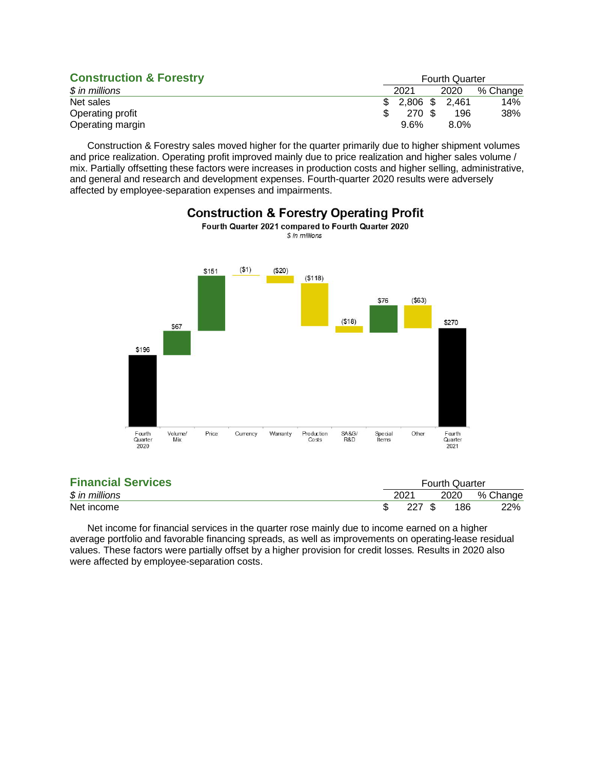| <b>Construction &amp; Forestry</b> | <b>Fourth Quarter</b> |  |                |          |  |  |
|------------------------------------|-----------------------|--|----------------|----------|--|--|
| $$$ in millions                    | 2021                  |  | 2020           | % Change |  |  |
| Net sales                          |                       |  | 2,806 \$ 2,461 | 14%      |  |  |
| Operating profit                   | 270 \$                |  | 196            | 38%      |  |  |
| Operating margin                   | $9.6\%$               |  | $8.0\%$        |          |  |  |

Construction & Forestry sales moved higher for the quarter primarily due to higher shipment volumes and price realization. Operating profit improved mainly due to price realization and higher sales volume / mix. Partially offsetting these factors were increases in production costs and higher selling, administrative, and general and research and development expenses. Fourth-quarter 2020 results were adversely affected by employee-separation expenses and impairments.



### **Construction & Forestry Operating Profit** Fourth Quarter 2021 compared to Fourth Quarter 2020

| <b>Financial Services</b> |                                                      |  |          |     |
|---------------------------|------------------------------------------------------|--|----------|-----|
| $$$ in millions           | <b>Fourth Quarter</b><br>2021<br>2020<br>227S<br>186 |  | % Change |     |
| Net income                |                                                      |  |          | 22% |

Net income for financial services in the quarter rose mainly due to income earned on a higher average portfolio and favorable financing spreads, as well as improvements on operating-lease residual values. These factors were partially offset by a higher provision for credit losses. Results in 2020 also were affected by employee-separation costs.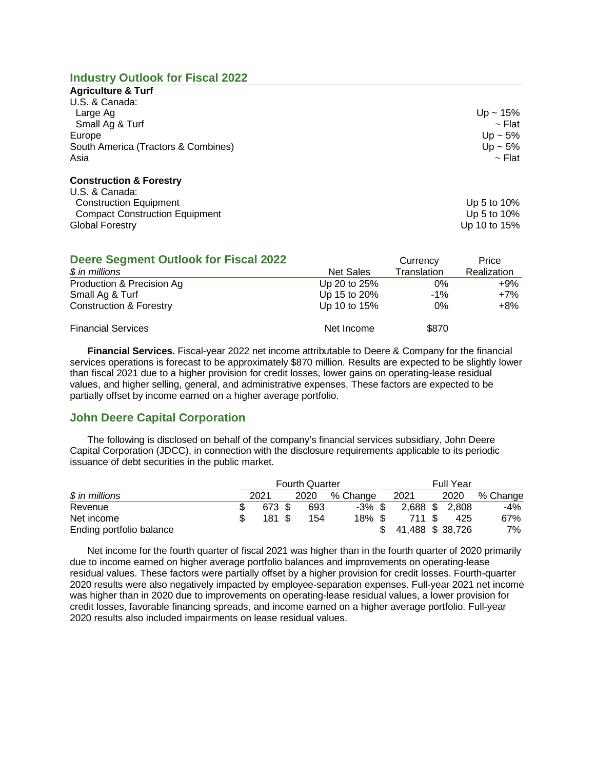### **Industry Outlook for Fiscal 2022**

| <b>Agriculture &amp; Turf</b>       |              |
|-------------------------------------|--------------|
| U.S. & Canada:                      |              |
| Large Ag                            | $Up - 15%$   |
| Small Ag & Turf                     | $\sim$ Flat  |
| Europe                              | Up ~ $5\%$   |
| South America (Tractors & Combines) | Up $\sim$ 5% |
| Asia                                | $\sim$ Flat  |
| <b>Construction &amp; Forestry</b>  |              |
| U.S. & Canada:                      |              |
| <b>Construction Equipment</b>       | Up 5 to 10%  |

Compact Construction Equipment Compact Construction Equipment Global Forestry **Up 10** to 15%

| <b>Deere Segment Outlook for Fiscal 2022</b> |              | Currency    | Price       |
|----------------------------------------------|--------------|-------------|-------------|
| $$$ in millions                              | Net Sales    | Translation | Realization |
| Production & Precision Ag                    | Up 20 to 25% | 0%          | $+9\%$      |
| Small Ag & Turf                              | Up 15 to 20% | $-1\%$      | $+7%$       |
| <b>Construction &amp; Forestry</b>           | Up 10 to 15% | $0\%$       | +8%         |
| <b>Financial Services</b>                    | Net Income   | \$870       |             |

**Financial Services.** Fiscal-year 2022 net income attributable to Deere & Company for the financial services operations is forecast to be approximately \$870 million. Results are expected to be slightly lower than fiscal 2021 due to a higher provision for credit losses, lower gains on operating-lease residual values, and higher selling, general, and administrative expenses. These factors are expected to be partially offset by income earned on a higher average portfolio.

# **John Deere Capital Corporation**

The following is disclosed on behalf of the company's financial services subsidiary, John Deere Capital Corporation (JDCC), in connection with the disclosure requirements applicable to its periodic issuance of debt securities in the public market.

|                          |        | <b>Fourth Quarter</b> |           | <b>Full Year</b> |  |       |          |  |
|--------------------------|--------|-----------------------|-----------|------------------|--|-------|----------|--|
| $$$ in millions          | 2021   | 2020                  | % Change  | 2021             |  | 2020  | % Change |  |
| Revenue                  | 673 \$ | 693                   | $-3\%$ \$ | $2,688$ \$       |  | 2.808 | -4%      |  |
| Net income               | 181 S  | 154                   | $18\%$ \$ | 711 S            |  | 425   | 67%      |  |
| Ending portfolio balance |        |                       |           | 41,488 \$38,726  |  |       | 7%       |  |

Net income for the fourth quarter of fiscal 2021 was higher than in the fourth quarter of 2020 primarily due to income earned on higher average portfolio balances and improvements on operating-lease residual values. These factors were partially offset by a higher provision for credit losses. Fourth-quarter 2020 results were also negatively impacted by employee-separation expenses. Full-year 2021 net income was higher than in 2020 due to improvements on operating-lease residual values, a lower provision for credit losses, favorable financing spreads, and income earned on a higher average portfolio. Full-year 2020 results also included impairments on lease residual values.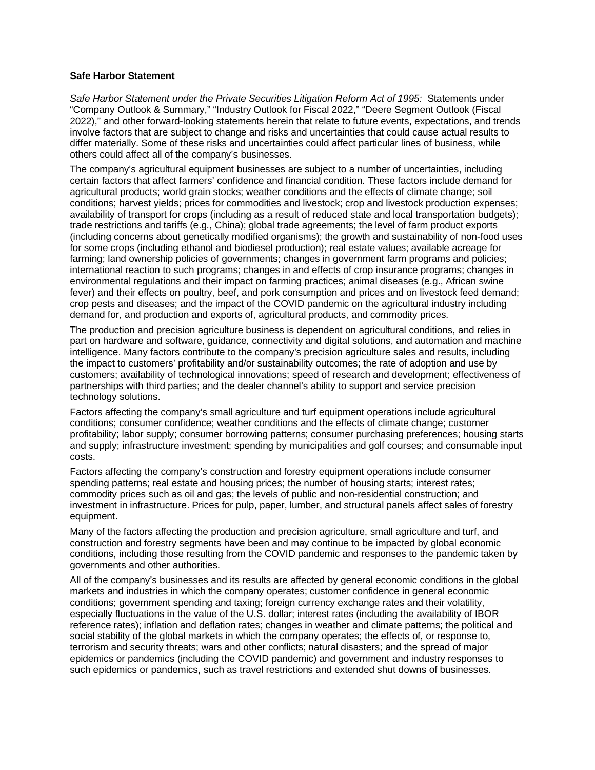#### **Safe Harbor Statement**

*Safe Harbor Statement under the Private Securities Litigation Reform Act of 1995:* Statements under "Company Outlook & Summary," "Industry Outlook for Fiscal 2022," "Deere Segment Outlook (Fiscal 2022)," and other forward-looking statements herein that relate to future events, expectations, and trends involve factors that are subject to change and risks and uncertainties that could cause actual results to differ materially. Some of these risks and uncertainties could affect particular lines of business, while others could affect all of the company's businesses.

The company's agricultural equipment businesses are subject to a number of uncertainties, including certain factors that affect farmers' confidence and financial condition. These factors include demand for agricultural products; world grain stocks; weather conditions and the effects of climate change; soil conditions; harvest yields; prices for commodities and livestock; crop and livestock production expenses; availability of transport for crops (including as a result of reduced state and local transportation budgets); trade restrictions and tariffs (e.g., China); global trade agreements; the level of farm product exports (including concerns about genetically modified organisms); the growth and sustainability of non-food uses for some crops (including ethanol and biodiesel production); real estate values; available acreage for farming; land ownership policies of governments; changes in government farm programs and policies; international reaction to such programs; changes in and effects of crop insurance programs; changes in environmental regulations and their impact on farming practices; animal diseases (e.g., African swine fever) and their effects on poultry, beef, and pork consumption and prices and on livestock feed demand; crop pests and diseases; and the impact of the COVID pandemic on the agricultural industry including demand for, and production and exports of, agricultural products, and commodity prices.

The production and precision agriculture business is dependent on agricultural conditions, and relies in part on hardware and software, guidance, connectivity and digital solutions, and automation and machine intelligence. Many factors contribute to the company's precision agriculture sales and results, including the impact to customers' profitability and/or sustainability outcomes; the rate of adoption and use by customers; availability of technological innovations; speed of research and development; effectiveness of partnerships with third parties; and the dealer channel's ability to support and service precision technology solutions.

Factors affecting the company's small agriculture and turf equipment operations include agricultural conditions; consumer confidence; weather conditions and the effects of climate change; customer profitability; labor supply; consumer borrowing patterns; consumer purchasing preferences; housing starts and supply; infrastructure investment; spending by municipalities and golf courses; and consumable input costs.

Factors affecting the company's construction and forestry equipment operations include consumer spending patterns; real estate and housing prices; the number of housing starts; interest rates; commodity prices such as oil and gas; the levels of public and non-residential construction; and investment in infrastructure. Prices for pulp, paper, lumber, and structural panels affect sales of forestry equipment.

Many of the factors affecting the production and precision agriculture, small agriculture and turf, and construction and forestry segments have been and may continue to be impacted by global economic conditions, including those resulting from the COVID pandemic and responses to the pandemic taken by governments and other authorities.

All of the company's businesses and its results are affected by general economic conditions in the global markets and industries in which the company operates; customer confidence in general economic conditions; government spending and taxing; foreign currency exchange rates and their volatility, especially fluctuations in the value of the U.S. dollar; interest rates (including the availability of IBOR reference rates); inflation and deflation rates; changes in weather and climate patterns; the political and social stability of the global markets in which the company operates; the effects of, or response to, terrorism and security threats; wars and other conflicts; natural disasters; and the spread of major epidemics or pandemics (including the COVID pandemic) and government and industry responses to such epidemics or pandemics, such as travel restrictions and extended shut downs of businesses.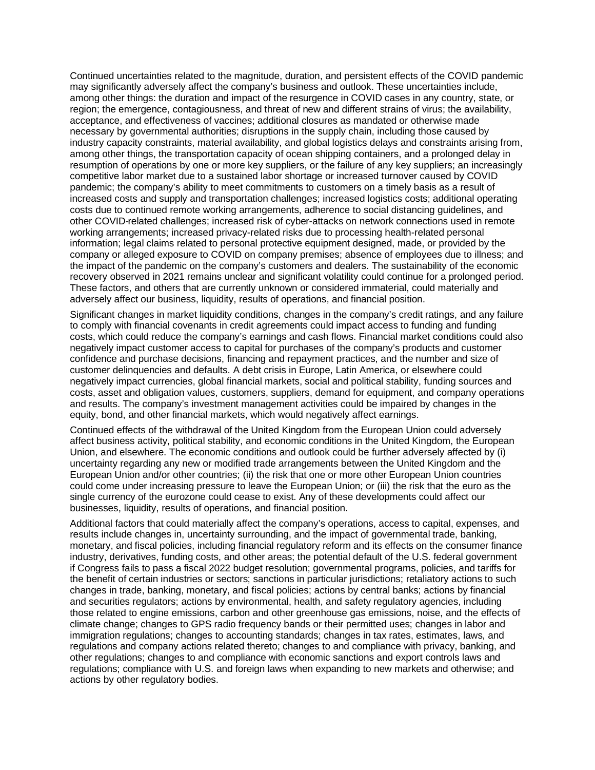Continued uncertainties related to the magnitude, duration, and persistent effects of the COVID pandemic may significantly adversely affect the company's business and outlook. These uncertainties include, among other things: the duration and impact of the resurgence in COVID cases in any country, state, or region; the emergence, contagiousness, and threat of new and different strains of virus; the availability, acceptance, and effectiveness of vaccines; additional closures as mandated or otherwise made necessary by governmental authorities; disruptions in the supply chain, including those caused by industry capacity constraints, material availability, and global logistics delays and constraints arising from, among other things, the transportation capacity of ocean shipping containers, and a prolonged delay in resumption of operations by one or more key suppliers, or the failure of any key suppliers; an increasingly competitive labor market due to a sustained labor shortage or increased turnover caused by COVID pandemic; the company's ability to meet commitments to customers on a timely basis as a result of increased costs and supply and transportation challenges; increased logistics costs; additional operating costs due to continued remote working arrangements, adherence to social distancing guidelines, and other COVID-related challenges; increased risk of cyber-attacks on network connections used in remote working arrangements; increased privacy-related risks due to processing health-related personal information; legal claims related to personal protective equipment designed, made, or provided by the company or alleged exposure to COVID on company premises; absence of employees due to illness; and the impact of the pandemic on the company's customers and dealers. The sustainability of the economic recovery observed in 2021 remains unclear and significant volatility could continue for a prolonged period. These factors, and others that are currently unknown or considered immaterial, could materially and adversely affect our business, liquidity, results of operations, and financial position.

Significant changes in market liquidity conditions, changes in the company's credit ratings, and any failure to comply with financial covenants in credit agreements could impact access to funding and funding costs, which could reduce the company's earnings and cash flows. Financial market conditions could also negatively impact customer access to capital for purchases of the company's products and customer confidence and purchase decisions, financing and repayment practices, and the number and size of customer delinquencies and defaults. A debt crisis in Europe, Latin America, or elsewhere could negatively impact currencies, global financial markets, social and political stability, funding sources and costs, asset and obligation values, customers, suppliers, demand for equipment, and company operations and results. The company's investment management activities could be impaired by changes in the equity, bond, and other financial markets, which would negatively affect earnings.

Continued effects of the withdrawal of the United Kingdom from the European Union could adversely affect business activity, political stability, and economic conditions in the United Kingdom, the European Union, and elsewhere. The economic conditions and outlook could be further adversely affected by (i) uncertainty regarding any new or modified trade arrangements between the United Kingdom and the European Union and/or other countries; (ii) the risk that one or more other European Union countries could come under increasing pressure to leave the European Union; or (iii) the risk that the euro as the single currency of the eurozone could cease to exist. Any of these developments could affect our businesses, liquidity, results of operations, and financial position.

Additional factors that could materially affect the company's operations, access to capital, expenses, and results include changes in, uncertainty surrounding, and the impact of governmental trade, banking, monetary, and fiscal policies, including financial regulatory reform and its effects on the consumer finance industry, derivatives, funding costs, and other areas; the potential default of the U.S. federal government if Congress fails to pass a fiscal 2022 budget resolution; governmental programs, policies, and tariffs for the benefit of certain industries or sectors; sanctions in particular jurisdictions; retaliatory actions to such changes in trade, banking, monetary, and fiscal policies; actions by central banks; actions by financial and securities regulators; actions by environmental, health, and safety regulatory agencies, including those related to engine emissions, carbon and other greenhouse gas emissions, noise, and the effects of climate change; changes to GPS radio frequency bands or their permitted uses; changes in labor and immigration regulations; changes to accounting standards; changes in tax rates, estimates, laws, and regulations and company actions related thereto; changes to and compliance with privacy, banking, and other regulations; changes to and compliance with economic sanctions and export controls laws and regulations; compliance with U.S. and foreign laws when expanding to new markets and otherwise; and actions by other regulatory bodies.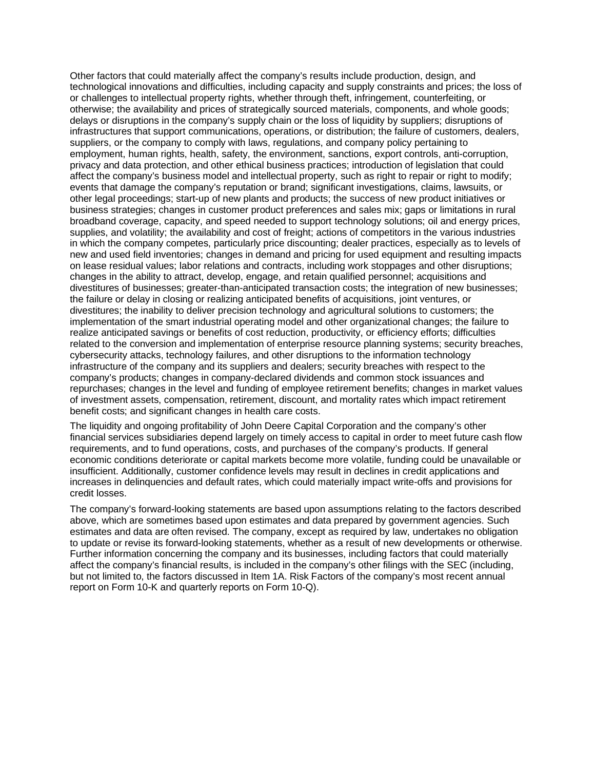Other factors that could materially affect the company's results include production, design, and technological innovations and difficulties, including capacity and supply constraints and prices; the loss of or challenges to intellectual property rights, whether through theft, infringement, counterfeiting, or otherwise; the availability and prices of strategically sourced materials, components, and whole goods; delays or disruptions in the company's supply chain or the loss of liquidity by suppliers; disruptions of infrastructures that support communications, operations, or distribution; the failure of customers, dealers, suppliers, or the company to comply with laws, regulations, and company policy pertaining to employment, human rights, health, safety, the environment, sanctions, export controls, anti-corruption, privacy and data protection, and other ethical business practices; introduction of legislation that could affect the company's business model and intellectual property, such as right to repair or right to modify; events that damage the company's reputation or brand; significant investigations, claims, lawsuits, or other legal proceedings; start-up of new plants and products; the success of new product initiatives or business strategies; changes in customer product preferences and sales mix; gaps or limitations in rural broadband coverage, capacity, and speed needed to support technology solutions; oil and energy prices, supplies, and volatility; the availability and cost of freight; actions of competitors in the various industries in which the company competes, particularly price discounting; dealer practices, especially as to levels of new and used field inventories; changes in demand and pricing for used equipment and resulting impacts on lease residual values; labor relations and contracts, including work stoppages and other disruptions; changes in the ability to attract, develop, engage, and retain qualified personnel; acquisitions and divestitures of businesses; greater-than-anticipated transaction costs; the integration of new businesses; the failure or delay in closing or realizing anticipated benefits of acquisitions, joint ventures, or divestitures; the inability to deliver precision technology and agricultural solutions to customers; the implementation of the smart industrial operating model and other organizational changes; the failure to realize anticipated savings or benefits of cost reduction, productivity, or efficiency efforts; difficulties related to the conversion and implementation of enterprise resource planning systems; security breaches, cybersecurity attacks, technology failures, and other disruptions to the information technology infrastructure of the company and its suppliers and dealers; security breaches with respect to the company's products; changes in company-declared dividends and common stock issuances and repurchases; changes in the level and funding of employee retirement benefits; changes in market values of investment assets, compensation, retirement, discount, and mortality rates which impact retirement benefit costs; and significant changes in health care costs.

The liquidity and ongoing profitability of John Deere Capital Corporation and the company's other financial services subsidiaries depend largely on timely access to capital in order to meet future cash flow requirements, and to fund operations, costs, and purchases of the company's products. If general economic conditions deteriorate or capital markets become more volatile, funding could be unavailable or insufficient. Additionally, customer confidence levels may result in declines in credit applications and increases in delinquencies and default rates, which could materially impact write-offs and provisions for credit losses.

The company's forward-looking statements are based upon assumptions relating to the factors described above, which are sometimes based upon estimates and data prepared by government agencies. Such estimates and data are often revised. The company, except as required by law, undertakes no obligation to update or revise its forward-looking statements, whether as a result of new developments or otherwise. Further information concerning the company and its businesses, including factors that could materially affect the company's financial results, is included in the company's other filings with the SEC (including, but not limited to, the factors discussed in Item 1A. Risk Factors of the company's most recent annual report on Form 10-K and quarterly reports on Form 10-Q).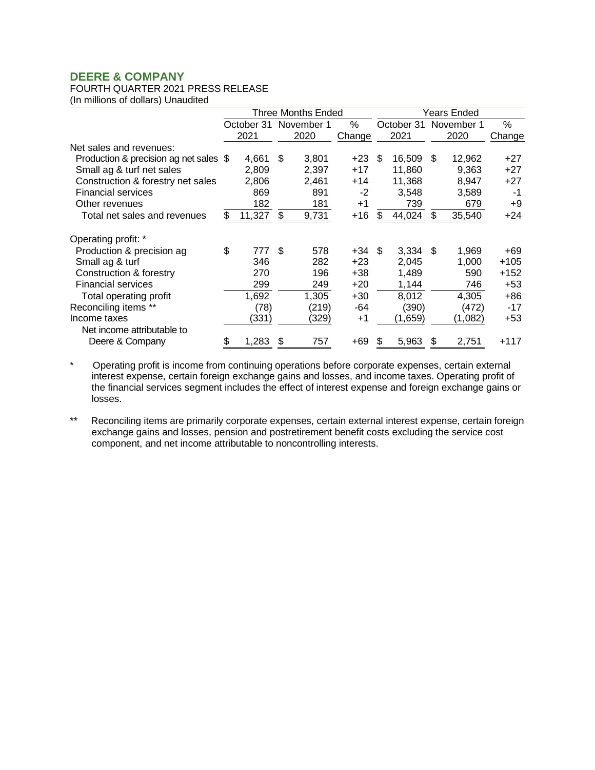# FOURTH QUARTER 2021 PRESS RELEASE

(In millions of dollars) Unaudited

|                                        |    |            |     | Three Months Ended |        | Years Ended |            |      |            |        |
|----------------------------------------|----|------------|-----|--------------------|--------|-------------|------------|------|------------|--------|
|                                        |    | October 31 |     | November 1         | %      |             | October 31 |      | November 1 | %      |
|                                        |    | 2021       |     | 2020               | Change |             | 2021       |      | 2020       | Change |
| Net sales and revenues:                |    |            |     |                    |        |             |            |      |            |        |
| Production & precision ag net sales \$ |    | 4,661      | \$. | 3,801              | $+23$  | \$.         | 16,509     | \$.  | 12,962     | +27    |
| Small ag & turf net sales              |    | 2.809      |     | 2,397              | $+17$  |             | 11.860     |      | 9.363      | +27    |
| Construction & forestry net sales      |    | 2,806      |     | 2,461              | $+14$  |             | 11,368     |      | 8,947      | $+27$  |
| <b>Financial services</b>              |    | 869        |     | 891                | $-2$   |             | 3.548      |      | 3,589      | -1     |
| Other revenues                         |    | 182        |     | 181                | $+1$   |             | 739        |      | 679        | +9     |
| Total net sales and revenues           | S  | 11,327     | \$  | 9,731              | $+16$  | \$          | 44,024     | \$   | 35,540     | $+24$  |
| Operating profit: *                    |    |            |     |                    |        |             |            |      |            |        |
| Production & precision ag              | \$ | 777        | \$  | 578                | +34    | - \$        | 3,334      | - \$ | 1,969      | +69    |
| Small ag & turf                        |    | 346        |     | 282                | $+23$  |             | 2,045      |      | 1,000      | $+105$ |
| Construction & forestry                |    | 270        |     | 196                | +38    |             | 1,489      |      | 590        | $+152$ |
| <b>Financial services</b>              |    | 299        |     | 249                | $+20$  |             | 1,144      |      | 746        | $+53$  |
| Total operating profit                 |    | 1,692      |     | 1,305              | $+30$  |             | 8,012      |      | 4,305      | +86    |
| Reconciling items **                   |    | (78)       |     | (219)              | -64    |             | (390)      |      | (472)      | -17    |
| Income taxes                           |    | (331)      |     | (329)              | $+1$   |             | (1,659)    |      | (1,082)    | +53    |
| Net income attributable to             |    |            |     |                    |        |             |            |      |            |        |
| Deere & Company                        | \$ | 1,283      |     | 757                | +69    | S           | 5,963      | \$   | 2,751      | $+117$ |

\* Operating profit is income from continuing operations before corporate expenses, certain external interest expense, certain foreign exchange gains and losses, and income taxes. Operating profit of the financial services segment includes the effect of interest expense and foreign exchange gains or losses.

\*\* Reconciling items are primarily corporate expenses, certain external interest expense, certain foreign exchange gains and losses, pension and postretirement benefit costs excluding the service cost component, and net income attributable to noncontrolling interests.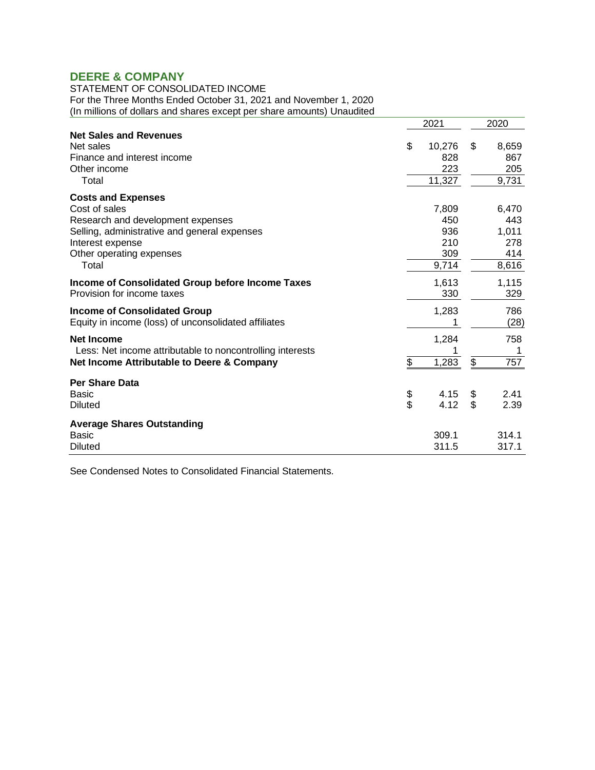STATEMENT OF CONSOLIDATED INCOME For the Three Months Ended October 31, 2021 and November 1, 2020 (In millions of dollars and shares except per share amounts) Unaudited

| Thinking of adjusted and change except                                                                                                                                                   |          | 2021                                       | 2020     |                                              |  |
|------------------------------------------------------------------------------------------------------------------------------------------------------------------------------------------|----------|--------------------------------------------|----------|----------------------------------------------|--|
| <b>Net Sales and Revenues</b><br>Net sales<br>Finance and interest income<br>Other income<br>Total                                                                                       | \$       | 10,276<br>828<br>223<br>11,327             | \$       | 8,659<br>867<br>205<br>9,731                 |  |
| <b>Costs and Expenses</b><br>Cost of sales<br>Research and development expenses<br>Selling, administrative and general expenses<br>Interest expense<br>Other operating expenses<br>Total |          | 7,809<br>450<br>936<br>210<br>309<br>9,714 |          | 6,470<br>443<br>1,011<br>278<br>414<br>8,616 |  |
| Income of Consolidated Group before Income Taxes<br>Provision for income taxes                                                                                                           |          | 1,613<br>330                               |          | 1,115<br>329                                 |  |
| <b>Income of Consolidated Group</b><br>Equity in income (loss) of unconsolidated affiliates                                                                                              |          | 1,283<br>1                                 |          | 786<br>(28)                                  |  |
| <b>Net Income</b><br>Less: Net income attributable to noncontrolling interests<br>Net Income Attributable to Deere & Company                                                             | \$       | 1,284<br>1,283                             | \$       | 758<br>1<br>757                              |  |
| <b>Per Share Data</b><br>Basic<br><b>Diluted</b>                                                                                                                                         | \$<br>\$ | 4.15<br>4.12                               | \$<br>\$ | 2.41<br>2.39                                 |  |
| <b>Average Shares Outstanding</b><br><b>Basic</b><br><b>Diluted</b>                                                                                                                      |          | 309.1<br>311.5                             |          | 314.1<br>317.1                               |  |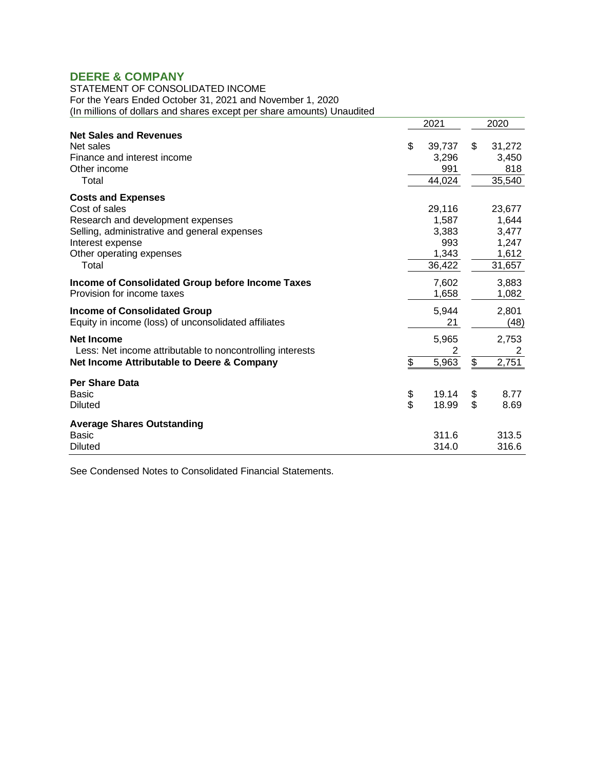STATEMENT OF CONSOLIDATED INCOME For the Years Ended October 31, 2021 and November 1, 2020 (In millions of dollars and shares except per share amounts) Unaudited

| minute of abiliary and brian bo brioble.                                                                                                                                                 |          | 2021                                               | 2020     |                                                      |  |
|------------------------------------------------------------------------------------------------------------------------------------------------------------------------------------------|----------|----------------------------------------------------|----------|------------------------------------------------------|--|
| <b>Net Sales and Revenues</b><br>Net sales<br>Finance and interest income<br>Other income<br>Total                                                                                       | \$       | 39,737<br>3,296<br>991<br>44,024                   | \$       | 31,272<br>3,450<br>818<br>35,540                     |  |
| <b>Costs and Expenses</b><br>Cost of sales<br>Research and development expenses<br>Selling, administrative and general expenses<br>Interest expense<br>Other operating expenses<br>Total |          | 29,116<br>1,587<br>3,383<br>993<br>1,343<br>36,422 |          | 23,677<br>1,644<br>3,477<br>1,247<br>1,612<br>31,657 |  |
| Income of Consolidated Group before Income Taxes<br>Provision for income taxes                                                                                                           |          | 7,602<br>1,658                                     |          | 3,883<br>1,082                                       |  |
| <b>Income of Consolidated Group</b><br>Equity in income (loss) of unconsolidated affiliates                                                                                              |          | 5,944<br>21                                        |          | 2,801<br>(48)                                        |  |
| <b>Net Income</b><br>Less: Net income attributable to noncontrolling interests<br>Net Income Attributable to Deere & Company                                                             | \$       | 5,965<br>2<br>5,963                                | \$       | 2,753<br>2<br>2,751                                  |  |
| <b>Per Share Data</b><br>Basic<br><b>Diluted</b>                                                                                                                                         | \$<br>\$ | 19.14<br>18.99                                     | \$<br>\$ | 8.77<br>8.69                                         |  |
| <b>Average Shares Outstanding</b><br><b>Basic</b><br><b>Diluted</b>                                                                                                                      |          | 311.6<br>314.0                                     |          | 313.5<br>316.6                                       |  |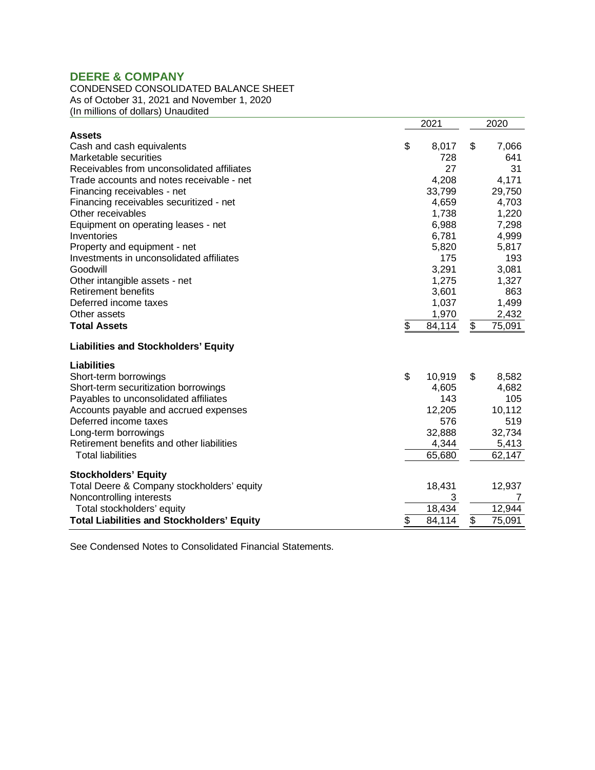### CONDENSED CONSOLIDATED BALANCE SHEET As of October 31, 2021 and November 1, 2020 (In millions of dollars) Unaudited

|                                                   | 2021         | 2020         |
|---------------------------------------------------|--------------|--------------|
| <b>Assets</b>                                     |              |              |
| Cash and cash equivalents                         | \$<br>8,017  | \$<br>7,066  |
| Marketable securities                             | 728          | 641          |
| Receivables from unconsolidated affiliates        | 27           | 31           |
| Trade accounts and notes receivable - net         | 4,208        | 4,171        |
| Financing receivables - net                       | 33,799       | 29,750       |
| Financing receivables securitized - net           | 4,659        | 4,703        |
| Other receivables                                 | 1,738        | 1,220        |
| Equipment on operating leases - net               | 6,988        | 7,298        |
| Inventories                                       | 6,781        | 4,999        |
| Property and equipment - net                      | 5,820        | 5,817        |
| Investments in unconsolidated affiliates          | 175          | 193          |
| Goodwill                                          | 3,291        | 3,081        |
| Other intangible assets - net                     | 1,275        | 1,327        |
| <b>Retirement benefits</b>                        | 3,601        | 863          |
| Deferred income taxes                             | 1,037        | 1,499        |
| Other assets                                      | 1,970        | 2,432        |
| <b>Total Assets</b>                               | \$<br>84,114 | \$<br>75,091 |
| <b>Liabilities and Stockholders' Equity</b>       |              |              |
| <b>Liabilities</b>                                |              |              |
| Short-term borrowings                             | \$<br>10,919 | \$<br>8,582  |
| Short-term securitization borrowings              | 4,605        | 4,682        |
| Payables to unconsolidated affiliates             | 143          | 105          |
| Accounts payable and accrued expenses             | 12,205       | 10,112       |
| Deferred income taxes                             | 576          | 519          |
| Long-term borrowings                              | 32,888       | 32,734       |
| Retirement benefits and other liabilities         | 4,344        | 5,413        |
| <b>Total liabilities</b>                          | 65,680       | 62,147       |
| <b>Stockholders' Equity</b>                       |              |              |
| Total Deere & Company stockholders' equity        | 18,431       | 12,937       |
| Noncontrolling interests                          | 3            | 7            |
| Total stockholders' equity                        | 18,434       | 12,944       |
| <b>Total Liabilities and Stockholders' Equity</b> | \$<br>84,114 | \$<br>75,091 |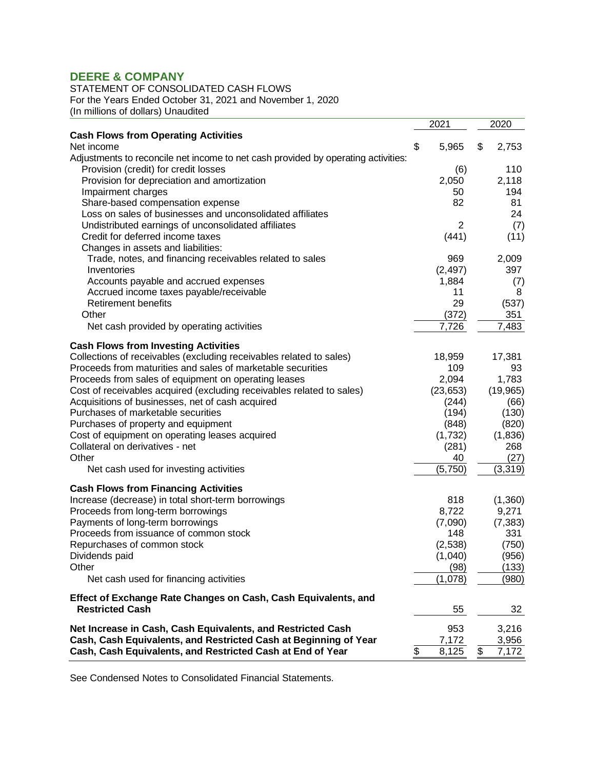STATEMENT OF CONSOLIDATED CASH FLOWS For the Years Ended October 31, 2021 and November 1, 2020

(In millions of dollars) Unaudited

|                                                                                                                                 | 2021        | 2020           |
|---------------------------------------------------------------------------------------------------------------------------------|-------------|----------------|
| <b>Cash Flows from Operating Activities</b>                                                                                     |             |                |
| Net income                                                                                                                      | \$<br>5,965 | \$<br>2,753    |
| Adjustments to reconcile net income to net cash provided by operating activities:                                               |             |                |
| Provision (credit) for credit losses                                                                                            | (6)         | 110            |
| Provision for depreciation and amortization                                                                                     | 2,050       | 2,118          |
| Impairment charges                                                                                                              | 50          | 194            |
| Share-based compensation expense                                                                                                | 82          | 81             |
| Loss on sales of businesses and unconsolidated affiliates                                                                       |             | 24             |
| Undistributed earnings of unconsolidated affiliates                                                                             | 2           | (7)            |
| Credit for deferred income taxes                                                                                                | (441)       | (11)           |
| Changes in assets and liabilities:                                                                                              |             |                |
| Trade, notes, and financing receivables related to sales                                                                        | 969         | 2,009          |
| Inventories                                                                                                                     | (2, 497)    | 397            |
| Accounts payable and accrued expenses                                                                                           | 1,884       | (7)            |
| Accrued income taxes payable/receivable                                                                                         | 11          | 8              |
| <b>Retirement benefits</b>                                                                                                      | 29          | (537)          |
| Other                                                                                                                           | (372)       | 351            |
| Net cash provided by operating activities                                                                                       | 7,726       | 7,483          |
| <b>Cash Flows from Investing Activities</b>                                                                                     |             |                |
| Collections of receivables (excluding receivables related to sales)                                                             | 18,959      | 17,381         |
| Proceeds from maturities and sales of marketable securities                                                                     | 109         | 93             |
| Proceeds from sales of equipment on operating leases                                                                            | 2,094       | 1,783          |
| Cost of receivables acquired (excluding receivables related to sales)                                                           | (23, 653)   | (19, 965)      |
| Acquisitions of businesses, net of cash acquired                                                                                | (244)       |                |
| Purchases of marketable securities                                                                                              |             | (66)<br>(130)  |
|                                                                                                                                 | (194)       |                |
| Purchases of property and equipment<br>Cost of equipment on operating leases acquired                                           | (848)       | (820)          |
| Collateral on derivatives - net                                                                                                 | (1,732)     | (1,836)<br>268 |
| Other                                                                                                                           | (281)       |                |
|                                                                                                                                 | 40          | (27)           |
| Net cash used for investing activities                                                                                          | (5,750)     | (3, 319)       |
| <b>Cash Flows from Financing Activities</b>                                                                                     |             |                |
| Increase (decrease) in total short-term borrowings                                                                              | 818         | (1,360)        |
| Proceeds from long-term borrowings                                                                                              | 8,722       | 9,271          |
| Payments of long-term borrowings                                                                                                | (7,090)     | (7, 383)       |
| Proceeds from issuance of common stock                                                                                          | 148         | 331            |
| Repurchases of common stock                                                                                                     | (2, 538)    | (750)          |
| Dividends paid                                                                                                                  | (1,040)     | (956)          |
| Other                                                                                                                           | (98)        | (133)          |
| Net cash used for financing activities                                                                                          | (1,078)     | (980)          |
| Effect of Exchange Rate Changes on Cash, Cash Equivalents, and                                                                  |             |                |
| <b>Restricted Cash</b>                                                                                                          | 55          | 32             |
|                                                                                                                                 |             |                |
| Net Increase in Cash, Cash Equivalents, and Restricted Cash<br>Cash, Cash Equivalents, and Restricted Cash at Beginning of Year | 953         | 3,216          |
|                                                                                                                                 | \$<br>7,172 | 3,956          |
| Cash, Cash Equivalents, and Restricted Cash at End of Year                                                                      | 8,125       | \$<br>7,172    |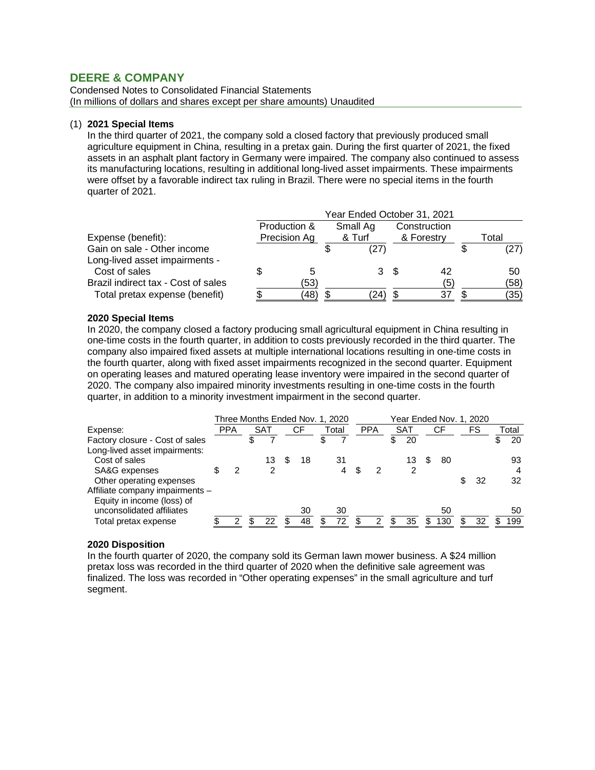Condensed Notes to Consolidated Financial Statements (In millions of dollars and shares except per share amounts) Unaudited

### (1) **2021 Special Items**

In the third quarter of 2021, the company sold a closed factory that previously produced small agriculture equipment in China, resulting in a pretax gain. During the first quarter of 2021, the fixed assets in an asphalt plant factory in Germany were impaired. The company also continued to assess its manufacturing locations, resulting in additional long-lived asset impairments. These impairments were offset by a favorable indirect tax ruling in Brazil. There were no special items in the fourth quarter of 2021.

|                                     | Year Ended October 31, 2021 |              |  |          |      |              |  |       |  |  |  |  |  |  |
|-------------------------------------|-----------------------------|--------------|--|----------|------|--------------|--|-------|--|--|--|--|--|--|
|                                     |                             | Production & |  | Small Ag |      | Construction |  |       |  |  |  |  |  |  |
| Expense (benefit):                  |                             | Precision Ag |  | & Turf   |      | & Forestry   |  | Total |  |  |  |  |  |  |
| Gain on sale - Other income         |                             |              |  | (27)     |      |              |  | (27)  |  |  |  |  |  |  |
| Long-lived asset impairments -      |                             |              |  |          |      |              |  |       |  |  |  |  |  |  |
| Cost of sales                       |                             | 5            |  | 3        | - \$ | 42           |  | 50    |  |  |  |  |  |  |
| Brazil indirect tax - Cost of sales |                             | (53)         |  |          |      | (5)          |  | (58)  |  |  |  |  |  |  |
| Total pretax expense (benefit)      |                             | (48)         |  | 24)      |      | 37           |  | (35)  |  |  |  |  |  |  |

#### **2020 Special Items**

In 2020, the company closed a factory producing small agricultural equipment in China resulting in one-time costs in the fourth quarter, in addition to costs previously recorded in the third quarter. The company also impaired fixed assets at multiple international locations resulting in one-time costs in the fourth quarter, along with fixed asset impairments recognized in the second quarter. Equipment on operating leases and matured operating lease inventory were impaired in the second quarter of 2020. The company also impaired minority investments resulting in one-time costs in the fourth quarter, in addition to a minority investment impairment in the second quarter.

|                                 |            |     |   | Three Months Ended Nov. 1, 2020 |       |            |            |     | Year Ended Nov. 1, 2020 |          |       |
|---------------------------------|------------|-----|---|---------------------------------|-------|------------|------------|-----|-------------------------|----------|-------|
| Expense:                        | <b>PPA</b> | SAT |   | СF                              | Total | <b>PPA</b> | <b>SAT</b> |     | СF                      | FS       | Total |
| Factory closure - Cost of sales |            |     |   |                                 | \$    |            | \$<br>20   |     |                         |          | 20    |
| Long-lived asset impairments:   |            |     |   |                                 |       |            |            |     |                         |          |       |
| Cost of sales                   |            | 13  | S | 18                              | 31    |            | 13         | S.  | 80                      |          | 93    |
| SA&G expenses                   | 2          | 2   |   |                                 |       | 2          | 2          |     |                         |          | 4     |
| Other operating expenses        |            |     |   |                                 |       |            |            |     |                         | \$<br>32 | 32    |
| Affiliate company impairments - |            |     |   |                                 |       |            |            |     |                         |          |       |
| Equity in income (loss) of      |            |     |   |                                 |       |            |            |     |                         |          |       |
| unconsolidated affiliates       |            |     |   | 30                              | 30    |            |            |     | 50                      |          | 50    |
| Total pretax expense            | 2          | 22  |   | 48                              | 72    | 2          | 35         | \$. | 130                     | 32       | 199   |

### **2020 Disposition**

In the fourth quarter of 2020, the company sold its German lawn mower business. A \$24 million pretax loss was recorded in the third quarter of 2020 when the definitive sale agreement was finalized. The loss was recorded in "Other operating expenses" in the small agriculture and turf segment.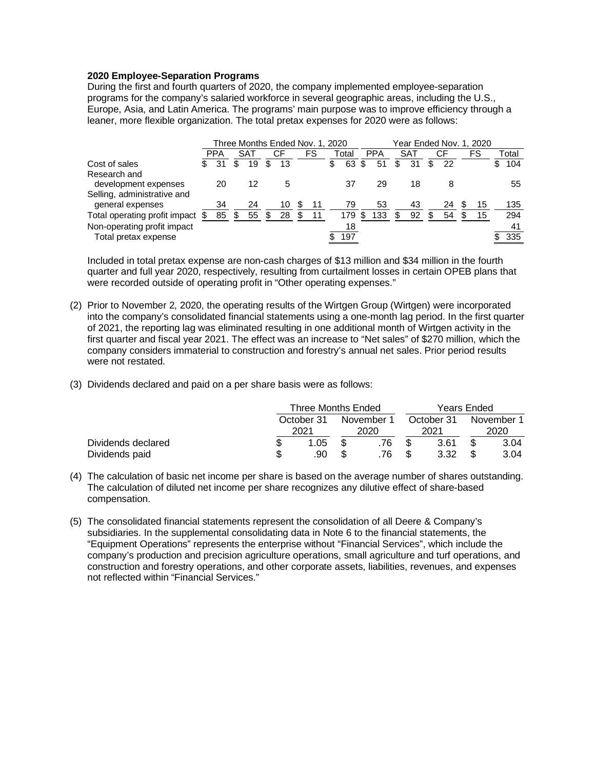### **2020 Employee-Separation Programs**

During the first and fourth quarters of 2020, the company implemented employee-separation programs for the company's salaried workforce in several geographic areas, including the U.S., Europe, Asia, and Latin America. The programs' main purpose was to improve efficiency through a leaner, more flexible organization. The total pretax expenses for 2020 were as follows:

|                                  |            | Three Months Ended Nov. 1, 2020 |   |    |   |    |          |     |            |          |          |   | Year Ended Nov. 1, 2020 |   |       |
|----------------------------------|------------|---------------------------------|---|----|---|----|----------|-----|------------|----------|----------|---|-------------------------|---|-------|
|                                  | <b>PPA</b> | <b>SAT</b>                      |   | СF |   | FS | Total    |     | <b>PPA</b> | SAT      | СF       |   | FS                      |   | Total |
| Cost of sales                    | 31         | 19                              | S | 13 |   |    | \$<br>63 | S   | 51         | \$<br>31 | \$<br>22 |   |                         | S | 104   |
| Research and                     |            |                                 |   |    |   |    |          |     |            |          |          |   |                         |   |       |
| development expenses             | 20         | 12                              |   | 5  |   |    | 37       |     | 29         | 18       | 8        |   |                         |   | 55    |
| Selling, administrative and      |            |                                 |   |    |   |    |          |     |            |          |          |   |                         |   |       |
| general expenses                 | 34         | 24                              |   | 10 | Ъ | 11 | 79       |     | 53         | 43       | 24       | S | 15                      |   | 135   |
| Total operating profit impact \$ | 85         | 55                              | S | 28 |   | 11 | 179      | \$. | 133        | 92       | 54       |   | 15                      |   | 294   |
| Non-operating profit impact      |            |                                 |   |    |   |    | 18       |     |            |          |          |   |                         |   | 41    |
| Total pretax expense             |            |                                 |   |    |   |    | 197      |     |            |          |          |   |                         |   | 335   |

Included in total pretax expense are non-cash charges of \$13 million and \$34 million in the fourth quarter and full year 2020, respectively, resulting from curtailment losses in certain OPEB plans that were recorded outside of operating profit in "Other operating expenses."

- (2) Prior to November 2, 2020, the operating results of the Wirtgen Group (Wirtgen) were incorporated into the company's consolidated financial statements using a one-month lag period. In the first quarter of 2021, the reporting lag was eliminated resulting in one additional month of Wirtgen activity in the first quarter and fiscal year 2021. The effect was an increase to "Net sales" of \$270 million, which the company considers immaterial to construction and forestry's annual net sales. Prior period results were not restated.
- (3) Dividends declared and paid on a per share basis were as follows:

|                    | Three Months Ended |            | Years Ended |            |
|--------------------|--------------------|------------|-------------|------------|
|                    | October 31         | November 1 | October 31  | November 1 |
|                    | 2021               | 2020       | 2021        | 2020       |
| Dividends declared | 1.05               | .76        | 3.61        | 3.04       |
| Dividends paid     | .90                | .76        | 3.32        | 3.04       |

- (4) The calculation of basic net income per share is based on the average number of shares outstanding. The calculation of diluted net income per share recognizes any dilutive effect of share-based compensation.
- (5) The consolidated financial statements represent the consolidation of all Deere & Company's subsidiaries. In the supplemental consolidating data in Note 6 to the financial statements, the "Equipment Operations" represents the enterprise without "Financial Services", which include the company's production and precision agriculture operations, small agriculture and turf operations, and construction and forestry operations, and other corporate assets, liabilities, revenues, and expenses not reflected within "Financial Services."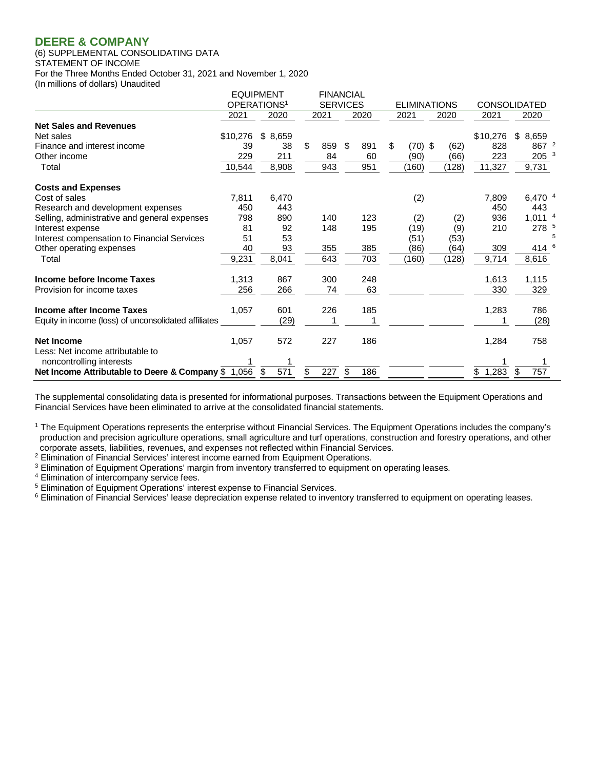#### (6) SUPPLEMENTAL CONSOLIDATING DATA STATEMENT OF INCOME For the Three Months Ended October 31, 2021 and November 1, 2020 (In millions of dollars) Unaudited

|                                                       |          | <b>EQUIPMENT</b>        |      |     | <b>FINANCIAL</b> |     |                     |       |             |                     |  |
|-------------------------------------------------------|----------|-------------------------|------|-----|------------------|-----|---------------------|-------|-------------|---------------------|--|
|                                                       |          | OPERATIONS <sup>1</sup> |      |     | <b>SERVICES</b>  |     | <b>ELIMINATIONS</b> |       |             | <b>CONSOLIDATED</b> |  |
|                                                       | 2021     | 2020                    | 2021 |     | 2020             |     | 2021                | 2020  | 2021        | 2020                |  |
| <b>Net Sales and Revenues</b>                         |          |                         |      |     |                  |     |                     |       |             |                     |  |
| Net sales                                             | \$10,276 | \$8,659                 |      |     |                  |     |                     |       | \$10,276    | \$8,659             |  |
| Finance and interest income                           | 39       | 38                      | \$   | 859 | -\$              | 891 | \$<br>(70) \$       | (62)  | 828         | 867 <sup>2</sup>    |  |
| Other income                                          | 229      | 211                     |      | 84  |                  | 60  | (90)                | (66)  | 223         | 205 <sup>3</sup>    |  |
| Total                                                 | 10,544   | 8,908                   |      | 943 |                  | 951 | (160)               | (128) | 11,327      | 9,731               |  |
| <b>Costs and Expenses</b>                             |          |                         |      |     |                  |     |                     |       |             |                     |  |
| Cost of sales                                         | 7,811    | 6,470                   |      |     |                  |     | (2)                 |       | 7,809       | 6,470 4             |  |
| Research and development expenses                     | 450      | 443                     |      |     |                  |     |                     |       | 450         | 443                 |  |
| Selling, administrative and general expenses          | 798      | 890                     |      | 140 |                  | 123 | (2)                 | (2)   | 936         | 1,011 <sup>4</sup>  |  |
| Interest expense                                      | 81       | 92                      |      | 148 |                  | 195 | (19)                | (9)   | 210         | 278 5               |  |
| Interest compensation to Financial Services           | 51       | 53                      |      |     |                  |     | (51)                | (53)  |             |                     |  |
| Other operating expenses                              | 40       | 93                      |      | 355 |                  | 385 | (86)                | (64)  | 309         | 414                 |  |
| Total                                                 | 9,231    | 8,041                   |      | 643 |                  | 703 | (160)               | (128) | 9,714       | 8,616               |  |
| Income before Income Taxes                            | 1,313    | 867                     |      | 300 |                  | 248 |                     |       | 1,613       | 1,115               |  |
| Provision for income taxes                            | 256      | 266                     |      | 74  |                  | 63  |                     |       | 330         | 329                 |  |
| Income after Income Taxes                             | 1,057    | 601                     |      | 226 |                  | 185 |                     |       | 1,283       | 786                 |  |
| Equity in income (loss) of unconsolidated affiliates  |          | (29)                    |      |     |                  |     |                     |       |             | (28)                |  |
| <b>Net Income</b><br>Less: Net income attributable to | 1,057    | 572                     |      | 227 |                  | 186 |                     |       | 1,284       | 758                 |  |
| noncontrolling interests                              |          |                         |      |     |                  |     |                     |       |             |                     |  |
| Net Income Attributable to Deere & Company \$ 1,056   |          | 571<br>S                | \$   | 227 | \$               | 186 |                     |       | 1,283<br>\$ | 757<br>\$           |  |

The supplemental consolidating data is presented for informational purposes. Transactions between the Equipment Operations and Financial Services have been eliminated to arrive at the consolidated financial statements.

<sup>1</sup> The Equipment Operations represents the enterprise without Financial Services. The Equipment Operations includes the company's production and precision agriculture operations, small agriculture and turf operations, construction and forestry operations, and other corporate assets, liabilities, revenues, and expenses not reflected within Financial Services.

<sup>2</sup> Elimination of Financial Services' interest income earned from Equipment Operations.

<sup>3</sup> Elimination of Equipment Operations' margin from inventory transferred to equipment on operating leases.

<sup>4</sup> Elimination of intercompany service fees.<br><sup>5</sup> Elimination of Equipment Operations' interest expense to Financial Services.

<sup>6</sup> Elimination of Financial Services' lease depreciation expense related to inventory transferred to equipment on operating leases.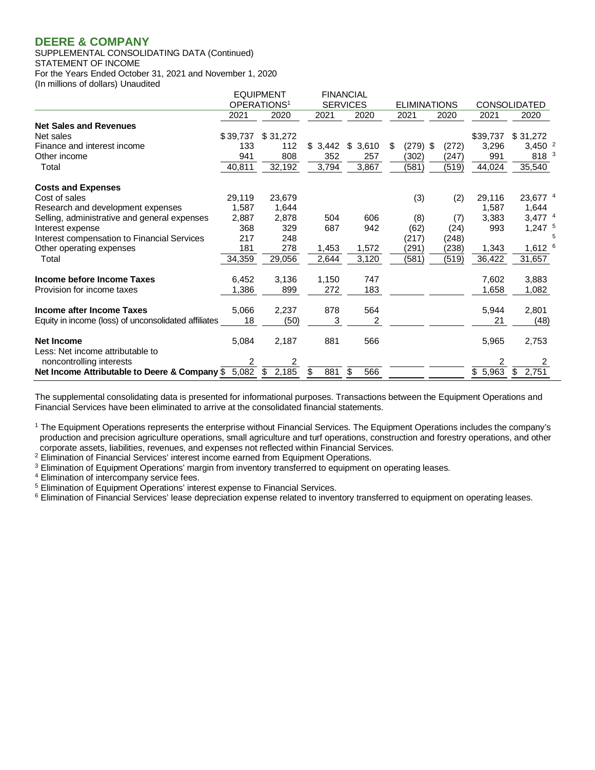SUPPLEMENTAL CONSOLIDATING DATA (Continued) STATEMENT OF INCOME For the Years Ended October 31, 2021 and November 1, 2020 (In millions of dollars) Unaudited

|                                                       |          | <b>EQUIPMENT</b>        |           | <b>FINANCIAL</b> |                     |              |          |                      |
|-------------------------------------------------------|----------|-------------------------|-----------|------------------|---------------------|--------------|----------|----------------------|
|                                                       |          | OPERATIONS <sup>1</sup> |           | <b>SERVICES</b>  | <b>ELIMINATIONS</b> |              |          | <b>CONSOLIDATED</b>  |
|                                                       | 2021     | 2020                    | 2021      | 2020             | 2021                | 2020         | 2021     | 2020                 |
| <b>Net Sales and Revenues</b>                         |          |                         |           |                  |                     |              |          |                      |
| Net sales                                             | \$39,737 | \$31,272                |           |                  |                     |              | \$39,737 | \$31,272             |
| Finance and interest income                           | 133      | 112                     | \$3,442   | \$<br>3,610      | (279)<br>\$         | -\$<br>(272) | 3,296    | $3,450^{2}$          |
| Other income                                          | 941      | 808                     | 352       | 257              | (302)               | (247)        | 991      | 818 <sup>3</sup>     |
| Total                                                 | 40,811   | 32,192                  | 3,794     | 3,867            | (581)               | (519)        | 44,024   | 35,540               |
| <b>Costs and Expenses</b>                             |          |                         |           |                  |                     |              |          |                      |
| Cost of sales                                         | 29,119   | 23,679                  |           |                  | (3)                 | (2)          | 29,116   | 23,677 4             |
| Research and development expenses                     | 1,587    | 1,644                   |           |                  |                     |              | 1,587    | 1,644                |
| Selling, administrative and general expenses          | 2,887    | 2,878                   | 504       | 606              | (8)                 | (7)          | 3,383    | $3,477$ <sup>4</sup> |
| Interest expense                                      | 368      | 329                     | 687       | 942              | (62)                | (24)         | 993      | $1,247$ <sup>5</sup> |
| Interest compensation to Financial Services           | 217      | 248                     |           |                  | (217)               | (248)        |          |                      |
| Other operating expenses                              | 181      | 278                     | 1,453     | 1,572            | (291)               | (238)        | 1,343    | $1,612$ <sup>6</sup> |
| Total                                                 | 34,359   | 29,056                  | 2,644     | 3,120            | (581)               | (519)        | 36,422   | 31,657               |
| Income before Income Taxes                            | 6,452    | 3,136                   | 1,150     | 747              |                     |              | 7.602    | 3,883                |
| Provision for income taxes                            | 1,386    | 899                     | 272       | 183              |                     |              | 1,658    | 1,082                |
| Income after Income Taxes                             | 5,066    | 2,237                   | 878       | 564              |                     |              | 5,944    | 2,801                |
| Equity in income (loss) of unconsolidated affiliates  | 18       | (50)                    | 3         | 2                |                     |              | 21       | (48)                 |
| <b>Net Income</b><br>Less: Net income attributable to | 5,084    | 2,187                   | 881       | 566              |                     |              | 5,965    | 2,753                |
| noncontrolling interests                              | 2        | 2                       |           |                  |                     |              |          |                      |
| Net Income Attributable to Deere & Company \$ 5,082   |          | 2,185<br>\$             | 881<br>\$ | \$<br>566        |                     |              | \$5,963  | 2,751<br>\$          |

The supplemental consolidating data is presented for informational purposes. Transactions between the Equipment Operations and Financial Services have been eliminated to arrive at the consolidated financial statements.

<sup>1</sup> The Equipment Operations represents the enterprise without Financial Services. The Equipment Operations includes the company's production and precision agriculture operations, small agriculture and turf operations, construction and forestry operations, and other corporate assets, liabilities, revenues, and expenses not reflected within Financial Services.

<sup>2</sup> Elimination of Financial Services' interest income earned from Equipment Operations.

<sup>3</sup> Elimination of Equipment Operations' margin from inventory transferred to equipment on operating leases.

<sup>4</sup> Elimination of intercompany service fees.<br><sup>5</sup> Elimination of Equipment Operations' interest expense to Financial Services.

<sup>6</sup> Elimination of Financial Services' lease depreciation expense related to inventory transferred to equipment on operating leases.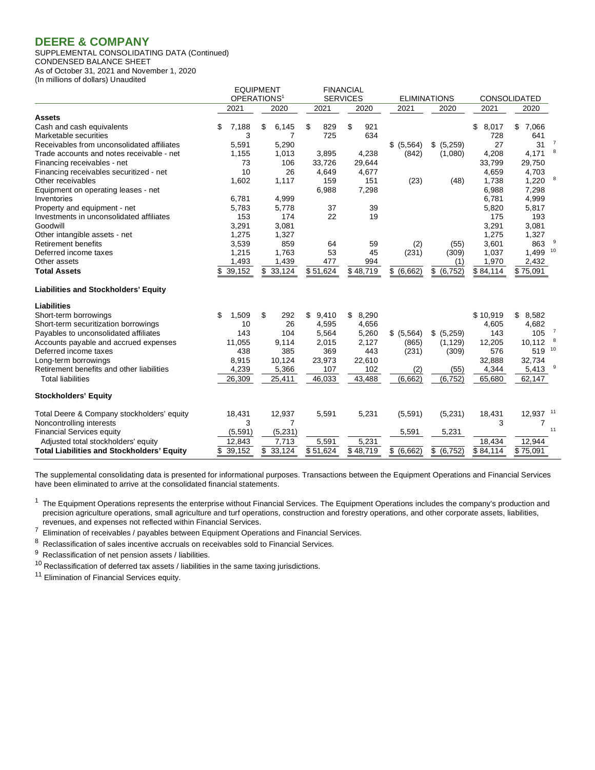SUPPLEMENTAL CONSOLIDATING DATA (Continued) CONDENSED BALANCE SHEET

As of October 31, 2021 and November 1, 2020 (In millions of dollars) Unaudited

|                                                   |    | <b>EQUIPMENT</b>        |              |          |       | <b>FINANCIAL</b> |               |                     |             |                     |                |
|---------------------------------------------------|----|-------------------------|--------------|----------|-------|------------------|---------------|---------------------|-------------|---------------------|----------------|
|                                                   |    | OPERATIONS <sup>1</sup> |              |          |       | <b>SERVICES</b>  |               | <b>ELIMINATIONS</b> |             | <b>CONSOLIDATED</b> |                |
| Assets                                            |    | 2021                    | 2020         | 2021     |       | 2020             | 2021          | 2020                | 2021        | 2020                |                |
| Cash and cash equivalents                         | S  | 7,188                   | \$<br>6,145  | \$       | 829   | \$<br>921        |               |                     | \$<br>8,017 | \$<br>7,066         |                |
| Marketable securities                             |    | 3                       | 7            |          | 725   | 634              |               |                     | 728         | 641                 |                |
| Receivables from unconsolidated affiliates        |    | 5,591                   | 5,290        |          |       |                  | \$ (5,564)    | \$ (5,259)          | 27          | 31                  | $\overline{7}$ |
| Trade accounts and notes receivable - net         |    | 1,155                   | 1,013        |          | 3,895 | 4,238            | (842)         | (1,080)             | 4,208       | 4,171               |                |
| Financing receivables - net                       |    | 73                      | 106          | 33,726   |       | 29,644           |               |                     | 33,799      | 29,750              |                |
| Financing receivables securitized - net           |    | 10                      | 26           |          | 4,649 | 4,677            |               |                     | 4,659       | 4,703               |                |
| Other receivables                                 |    | 1.602                   | 1,117        |          | 159   | 151              | (23)          | (48)                | 1,738       | 1,220               | 8              |
| Equipment on operating leases - net               |    |                         |              |          | 6,988 | 7,298            |               |                     | 6,988       | 7,298               |                |
| Inventories                                       |    | 6,781                   | 4,999        |          |       |                  |               |                     | 6,781       | 4,999               |                |
| Property and equipment - net                      |    | 5,783                   | 5,778        |          | 37    | 39               |               |                     | 5,820       | 5,817               |                |
| Investments in unconsolidated affiliates          |    | 153                     | 174          |          | 22    | 19               |               |                     | 175         | 193                 |                |
| Goodwill                                          |    | 3,291                   | 3,081        |          |       |                  |               |                     | 3,291       | 3,081               |                |
| Other intangible assets - net                     |    | 1,275                   | 1,327        |          |       |                  |               |                     | 1,275       | 1,327               |                |
| <b>Retirement benefits</b>                        |    | 3,539                   | 859          |          | 64    | 59               | (2)           | (55)                | 3,601       | 863                 |                |
| Deferred income taxes                             |    | 1,215                   | 1,763        |          | 53    | 45               | (231)         | (309)               | 1,037       | 1,499               | 10             |
| Other assets                                      |    | 1,493                   | 1,439        |          | 477   | 994              |               | (1)                 | 1,970       | 2,432               |                |
| <b>Total Assets</b>                               | \$ | 39,152                  | \$<br>33,124 | \$51,624 |       | \$48,719         | \$<br>(6,662) | \$ (6, 752)         | \$84,114    | \$75,091            |                |
| <b>Liabilities and Stockholders' Equity</b>       |    |                         |              |          |       |                  |               |                     |             |                     |                |
| <b>Liabilities</b>                                |    |                         |              |          |       |                  |               |                     |             |                     |                |
| Short-term borrowings                             | \$ | 1,509                   | \$<br>292    | \$       | 9,410 | \$<br>8,290      |               |                     | \$10,919    | 8,582<br>\$         |                |
| Short-term securitization borrowings              |    | 10                      | 26           |          | 4,595 | 4,656            |               |                     | 4,605       | 4,682               |                |
| Payables to unconsolidated affiliates             |    | 143                     | 104          |          | 5,564 | 5,260            | \$ (5,564)    | \$ (5,259)          | 143         | 105                 | $\overline{7}$ |
| Accounts payable and accrued expenses             |    | 11,055                  | 9,114        |          | 2,015 | 2,127            | (865)         | (1, 129)            | 12,205      | 10,112              |                |
| Deferred income taxes                             |    | 438                     | 385          |          | 369   | 443              | (231)         | (309)               | 576         | 519                 | 10             |
| Long-term borrowings                              |    | 8,915                   | 10,124       | 23,973   |       | 22,610           |               |                     | 32,888      | 32,734              |                |
| Retirement benefits and other liabilities         |    | 4,239                   | 5,366        |          | 107   | 102              | (2)           | (55)                | 4,344       | 5,413               | 9              |
| <b>Total liabilities</b>                          |    | 26,309                  | 25,411       | 46,033   |       | 43,488           | (6,662)       | (6, 752)            | 65,680      | 62,147              |                |
| <b>Stockholders' Equity</b>                       |    |                         |              |          |       |                  |               |                     |             |                     |                |
| Total Deere & Company stockholders' equity        |    | 18,431                  | 12,937       |          | 5,591 | 5,231            | (5,591)       | (5,231)             | 18,431      | 12,937 11           |                |
| Noncontrolling interests                          |    | 3                       | 7            |          |       |                  |               |                     | 3           | 7                   |                |
| <b>Financial Services equity</b>                  |    | (5, 591)                | (5,231)      |          |       |                  | 5,591         | 5,231               |             |                     | 11             |
| Adjusted total stockholders' equity               |    | 12,843                  | 7,713        |          | 5,591 | 5,231            |               |                     | 18,434      | 12,944              |                |
| <b>Total Liabilities and Stockholders' Equity</b> |    | 39,152                  | \$<br>33,124 | \$51,624 |       | \$48,719         | \$ (6,662)    | \$ (6, 752)         | \$84,114    | \$75,091            |                |

The supplemental consolidating data is presented for informational purposes. Transactions between the Equipment Operations and Financial Services have been eliminated to arrive at the consolidated financial statements.

 $1$  The Equipment Operations represents the enterprise without Financial Services. The Equipment Operations includes the company's production and precision agriculture operations, small agriculture and turf operations, construction and forestry operations, and other corporate assets, liabilities, revenues, and expenses not reflected within Financial Services.

7 Elimination of receivables / payables between Equipment Operations and Financial Services.

 $8$  Reclassification of sales incentive accruals on receivables sold to Financial Services.

<sup>9</sup> Reclassification of net pension assets / liabilities.

 $10$  Reclassification of deferred tax assets / liabilities in the same taxing jurisdictions.

<sup>11</sup> Elimination of Financial Services equity.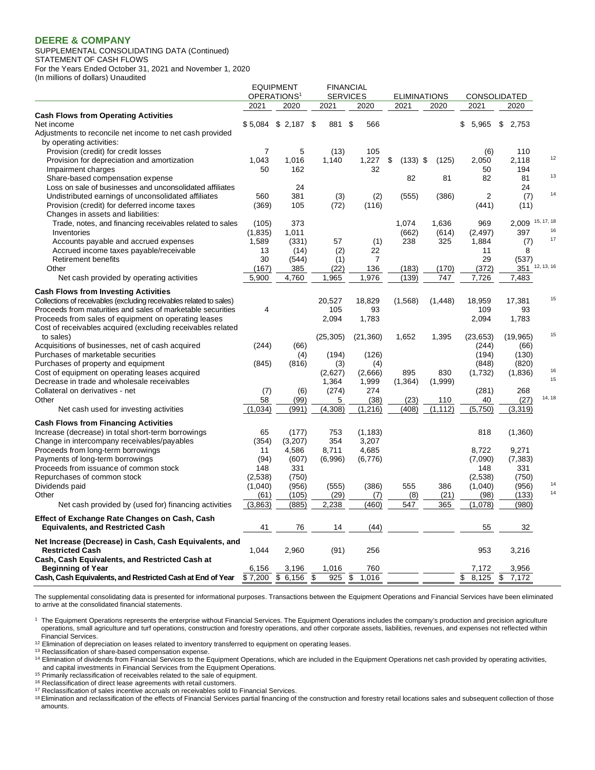(In millions of dollars) Unaudited

SUPPLEMENTAL CONSOLIDATING DATA (Continued) STATEMENT OF CASH FLOWS For the Years Ended October 31, 2021 and November 1, 2020

EQUIPMENT FINANCIAL<br>OPERATIONS<sup>1</sup> SERVICES OPERATIONS<sup>1</sup> SERVICES ELIMINATIONS CONSOLIDATED 2021 2020 2021 2020 2021 2020 2021 2020 **Cash Flows from Operating Activities** Net income \$ 5,084 \$ 2,187 \$ 881 \$ 566 \$ 5,965 \$ 2,753 Adjustments to reconcile net income to net cash provided by operating activities: Provision (credit) for credit losses <br>Provision for depreciation and amortization <br>Provision for depreciation and amortization <br>2,118 Provision for depreciation and amortization  $1,043$   $1,016$   $1,140$   $1,227$  \$  $(133)$  \$  $(125)$   $2,050$   $2,118$   $12$ Impairment charges 60 194 and the state of the state of the state of the state of the state of the state of the state of the state of the state of the state of the state of the state of the state of the state of the state Share-based compensation expense 82 81 82 81 <sup>13</sup> Loss on sale of businesses and unconsolidated affiliates 24 24 Undistributed earnings of unconsolidated affiliates 560 381 (3) (2) (555) (386) 2 (7) <sup>14</sup> Provision (credit) for deferred income taxes (369) 105 (72) (116) (441) (11) Changes in assets and liabilities: Trade, notes, and financing receivables related to sales (105) 373 1,074 1,636 969 2,009 <sup>15, 17, 18</sup> 11/11 11/2,497) 100616161616161616162 11,835) 1,011 (662) (614) (2,497) 1397 <sup>16</sup> Accounts payable and accrued expenses 1,589 (331) 57 (1) 238 325 1,884 (7) <sup>17</sup> Accrued income taxes payable/receivable 13 (14) (2) 22 11 8 Retirement benefits (537)<br>
19 (167) 1985 (2012) 1986 (183) (183) (170) (372) 1351 (184)<br>
Retirement benefits (537) Other (167) 385 (22) 136 (183) (170) (372) 351 12, 13, 16 Net cash provided by operating activities 6,900 1,760 1,965 1,976 1,976 1,977 7,726 7,483 **Cash Flows from Investing Activities** Collections of receivables (excluding receivables related to sales) 20,527 18,829 (1,568) (1,448) 18,959 17,381 <sup>15</sup><br>Proceeds from maturities and sales of marketable securities 4 105 93 Proceeds from maturities and sales of marketable securities  $4$  105 93 109 109 93 Proceeds from sales of equipment on operating leases 2,094 1,783 2,094 1,783 Cost of receivables acquired (excluding receivables related to sales) (25,305) (21,360) 1,652 1,395 (23,653) (19,965) <sup>15</sup> Acquisitions of businesses, net of cash acquired (244) (66)<br>Purchases of marketable securities (190) (244) (4) (194) (126) (126) (194) (194) (194) Purchases of marketable securities (4) (194) (194) (126) (194) (194) (194) (194) (194) (194) (1950)<br>Purchases of property and equipment (845) (846) (846) (3) (4) (3) (848) (848) (820) Purchases of property and equipment (845) (845) (816) (316 (316) (316) (895 (848) (848) (820)<br>Cost of equipment on operating leases acquired (845) (856) (2.627) (866) (895 (830 (1.732) (1.836) Cost of equipment on operating leases acquired (2,627) (2,666) 895 830 (1,732) (1,836)<sup>16</sup><br>Decrees in trade and urbelease acquirebles Decrease in trade and wholesale receivables 1,364 1,999 (1,364 1,999 (1,364) (1,999)<br>Collateral on derivatives - net (1,999) 150 (7) (6) (274 1,999 (1,364 1,999 (1,999) Collateral on derivatives - net (7) (6) (274) 274 (281) 268 Other 58 (99) 5 (38) (23) 110 40 (27) 14, 18 Net cash used for investing activities (1,034) (1,034) (991) (4,308) (1,216) (408) (1,112) (5,750) (3,319) **Cash Flows from Financing Activities** Increase (decrease) in total short-term borrowings 65 (177) 753 (1,183) 818 (1,360) Change in intercompany receivables/payables (354) (3,207) 354 3,207 Proceeds from long-term borrowings <br>
Payments of long-term borrowings (94) (94) (607) (6,996) (6,776) (7,090) (7,383) Payments of long-term borrowings Proceeds from issuance of common stock 148 331 148 331 148 331 Repurchases of common stock (2,538) (750) (2,538) (750) Dividends paid (1,040) (956) (555) (386) 555 386 (1,040) (956)<sup>14</sup> Other (61) (105) (29) (7) (8) (21) (98) (133) <sup>14</sup> Net cash provided by (used for) financing activities (3,863) (885) 2,238 (460) 547 365 (1,078) (980) **Effect of Exchange Rate Changes on Cash, Cash Equivalents, and Restricted Cash 41** 76 14 (44) 55 32 **Net Increase (Decrease) in Cash, Cash Equivalents, and Restricted Cash** 1,044 2,960 (91) 256 953 3,216 **Cash, Cash Equivalents, and Restricted Cash at Beginning of Year 6,156 3,196 1,016 760** 7,172 3,956

The supplemental consolidating data is presented for informational purposes. Transactions between the Equipment Operations and Financial Services have been eliminated to arrive at the consolidated financial statements.

**Cash, Cash Equivalents, and Restricted Cash at End of Year**  $\frac{1}{3}$  7,200  $\frac{1}{3}$  6,156  $\frac{1}{3}$  8,125  $\frac{1}{3}$  8,125  $\frac{1}{3}$  7,172

1 The Equipment Operations represents the enterprise without Financial Services. The Equipment Operations includes the company's production and precision agriculture operations, small agriculture and turf operations, construction and forestry operations, and other corporate assets, liabilities, revenues, and expenses not reflected within Financial Services.

 $12$  Elimination of depreciation on leases related to inventory transferred to equipment on operating leases.

<sup>13</sup> Reclassification of share-based compensation expense.

<sup>14</sup> Elimination of dividends from Financial Services to the Equipment Operations, which are included in the Equipment Operations net cash provided by operating activities, and capital investments in Financial Services from the Equipment Operations.

<sup>15</sup> Primarily reclassification of receivables related to the sale of equipment.

<sup>16</sup> Reclassification of direct lease agreements with retail customers.

<sup>17</sup> Reclassification of sales incentive accruals on receivables sold to Financial Services.

<sup>18</sup> Elimination and reclassification of the effects of Financial Services partial financing of the construction and forestry retail locations sales and subsequent collection of those amounts.